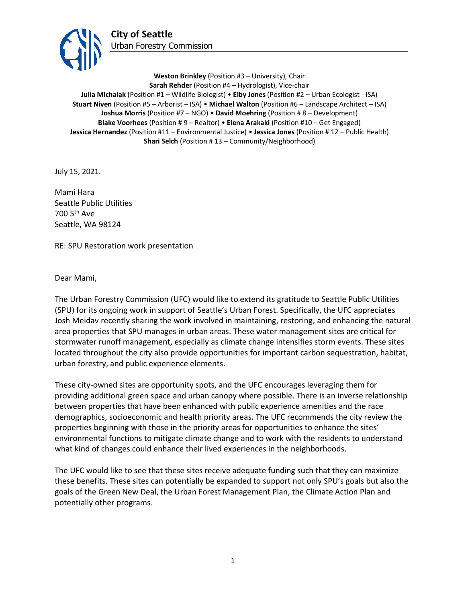

**Weston Brinkley** (Position #3 – University), Chair **Sarah Rehder** (Position #4 – Hydrologist), Vice-chair **Julia Michalak** (Position #1 – Wildlife Biologist) • **Elby Jones** (Position #2 – Urban Ecologist - ISA) **Stuart Niven** (Position #5 – Arborist – ISA) • **Michael Walton** (Position #6 – Landscape Architect – ISA) **Joshua Morris** (Position #7 – NGO) • **David Moehring** (Position # 8 – Development) **Blake Voorhees** (Position # 9 – Realtor) • **Elena Arakaki** (Position #10 – Get Engaged) **Jessica Hernandez** (Position #11 – Environmental Justice) • **Jessica Jones** (Position # 12 – Public Health) **Shari Selch** (Position #13 – Community/Neighborhood)

July 15, 2021.

Mami Hara Seattle Public Utilities 700 5th Ave Seattle, WA 98124

RE: SPU Restoration work presentation

Dear Mami,

The Urban Forestry Commission (UFC) would like to extend its gratitude to Seattle Public Utilities (SPU) for its ongoing work in support of Seattle's Urban Forest. Specifically, the UFC appreciates Josh Meidav recently sharing the work involved in maintaining, restoring, and enhancing the natural area properties that SPU manages in urban areas. These water management sites are critical for stormwater runoff management, especially as climate change intensifies storm events. These sites located throughout the city also provide opportunities for important carbon sequestration, habitat, urban forestry, and public experience elements.

These city-owned sites are opportunity spots, and the UFC encourages leveraging them for providing additional green space and urban canopy where possible. There is an inverse relationship between properties that have been enhanced with public experience amenities and the race demographics, socioeconomic and health priority areas. The UFC recommends the city review the properties beginning with those in the priority areas for opportunities to enhance the sites' environmental functions to mitigate climate change and to work with the residents to understand what kind of changes could enhance their lived experiences in the neighborhoods.

The UFC would like to see that these sites receive adequate funding such that they can maximize these benefits. These sites can potentially be expanded to support not only SPU's goals but also the goals of the Green New Deal, the Urban Forest Management Plan, the Climate Action Plan and potentially other programs.